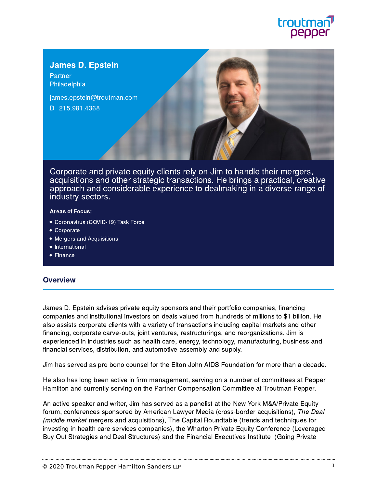

# James D. Epstein

**Partner** [Philadelphia](https://www.troutman.com/offices/philadelphia-pa.html)

[james.epstein@troutman.com](mailto:james.epstein@troutman.com) D [215.981.4368](tel:215.981.4368)

Corporate and private equity clients rely on Jim to handle their mergers, acquisitions and other strategic transactions. He brings a practical, creative approach and considerable experience to dealmaking in a diverse range of industry sectors.

#### Areas of Focus:

- [Coronavirus \(COVID-19\)](https://www.troutman.com/services/practices/covid.html) Task Force
- [Corporate](https://www.troutman.com/services/practices/corporate/index.html)
- [Mergers and](https://www.troutman.com/services/practices/corporate/mergers-and-acquisitions.html) Acquisitions
- [International](https://www.troutman.com/services/practices/corporate/international.html)
- [Finance](https://www.troutman.com/services/industries/financial-services/finance.html)

#### **Overview**

James D. Epstein advises private equity sponsors and their portfolio companies, financing companies and institutional investors on deals valued from hundreds of millions to \$1 billion. He also assists corporate clients with a variety of transactions including capital markets and other financing, corporate carve-outs, joint ventures, restructurings, and reorganizations. Jim is experienced in industries such as health care, energy, technology, manufacturing, business and financial services, distribution, and automotive assembly and supply.

Jim has served as pro bono counsel for the Elton John AIDS Foundation for more than a decade.

He also has long been active in firm management, serving on a number of committees at Pepper Hamilton and currently serving on the Partner Compensation Committee at Troutman Pepper.

An active speaker and writer, Jim has served as a panelist at the New York M&A/Private Equity forum, conferences sponsored by American Lawyer Media (cross-border acquisitions), The Deal (middle market mergers and acquisitions), The Capital Roundtable (trends and techniques for investing in health care services companies), the Wharton Private Equity Conference (Leveraged Buy Out Strategies and Deal Structures) and the Financial Executives Institute (Going Private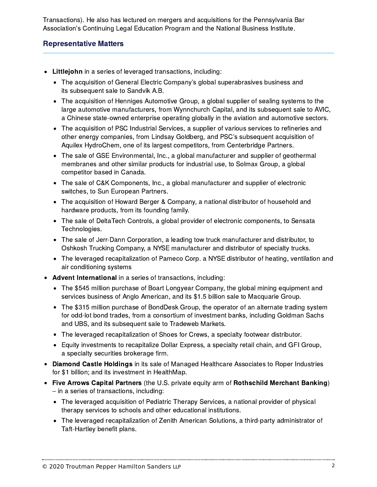Transactions). He also has lectured on mergers and acquisitions for the Pennsylvania Bar Transactions). He also has lectured on mergers and acquisitions for the Pennsylvania I<br>Association's Continuing Legal Education Program and the National Business Institute.

### Representative Matters

- Littlejohn in a series of leveraged transactions, including:
	- The acquisition of General Electric Company's global superabrasives business and its subsequent sale to Sandvik A.B.
	- The acquisition of Henniges Automotive Group, a global supplier of sealing systems to the large automotive manufacturers, from Wynnchurch Capital, and its subsequent sale to AVIC, a Chinese state-owned enterprise operating globally in the aviation and automotive sectors.
	- The acquisition of PSC Industrial Services, a supplier of various services to refineries and a onlinese state owned enterprise operating globally in the aviation and adtomotive set<br>The acquisition of PSC Industrial Services, a supplier of various services to refineries a<br>other energy companies, from Lindsay Goldbe Aquilex HydroChem, one of its largest competitors, from Centerbridge Partners.
	- The sale of GSE Environmental, Inc., a global manufacturer and supplier of geothermal membranes and other similar products for industrial use, to Solmax Group, a global competitor based in Canada.
	- The sale of C&K Components, Inc., a global manufacturer and supplier of electronic switches, to Sun European Partners.
	- The acquisition of Howard Berger & Company, a national distributor of household and hardware products, from its founding family.
	- The sale of DeltaTech Controls, a global provider of electronic components, to Sensata Technologies.
	- The sale of Jerr-Dann Corporation, a leading tow truck manufacturer and distributor, to Oshkosh Trucking Company, a NYSE manufacturer and distributor of specialty trucks.
	- The leveraged recapitalization of Pameco Corp. a NYSE distributor of heating, ventilation and air conditioning systems
- Advent International in a series of transactions, including:
	- The \$545 million purchase of Boart Longyear Company, the global mining equipment and services business of Anglo American, and its \$1.5 billion sale to Macquarie Group.
	- The \$315 million purchase of BondDesk Group, the operator of an alternate trading system for odd-lot bond trades, from a consortium of investment banks, including Goldman Sachs and UBS, and its subsequent sale to Tradeweb Markets.
	- The leveraged recapitalization of Shoes for Crews, a specialty footwear distributor.
	- Equity investments to recapitalize Dollar Express, a specialty retail chain, and GFI Group, a specialty securities brokerage firm.
- Diamond Castle Holdings in its sale of Managed Healthcare Associates to Roper Industries for \$1 billion; and its investment in HealthMap. –
- Five Arrows Capital Partners (the U.S. private equity arm of Rothschild Merchant Banking)  $-$  in a series of transactions, including:
	- The leveraged acquisition of Pediatric Therapy Services, a national provider of physical therapy services to schools and other educational institutions.
	- The leveraged recapitalization of Zenith American Solutions, a third-party administrator of Taft-Hartley benefit plans.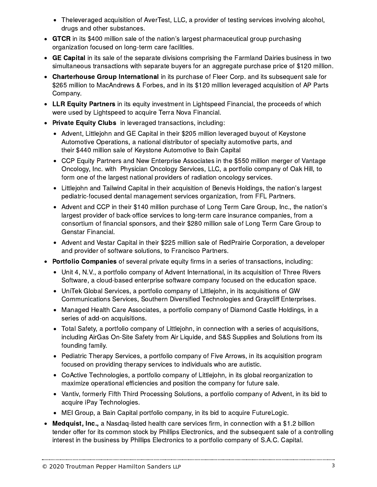- Theleveraged acquisition of AverTest, LLC, a provider of testing services involving alcohol, drugs and other substances.
- GTCR in its \$400 million sale of the nation's largest pharmaceutical group purchasing organization focused on long-term care facilities.
- GE Capital in its sale of the separate divisions comprising the Farmland Dairies business in two simultaneous transactions with separate buyers for an aggregate purchase price of \$120 million.
- Charterhouse Group International in its purchase of Fleer Corp. and its subsequent sale for \$265 million to MacAndrews & Forbes, and in its \$120 million leveraged acquisition of AP Parts Company.
- LLR Equity Partners in its equity investment in Lightspeed Financial, the proceeds of which were used by Lightspeed to acquire Terra Nova Financial.
- Private Equity Clubs in leveraged transactions, including:
	- Advent, Littlejohn and GE Capital in their \$205 million leveraged buyout of Keystone Automotive Operations, a national distributor of specialty automotive parts, and their \$440 million sale of Keystone Automotive to Bain Capital
	- CCP Equity Partners and New Enterprise Associates in the \$550 million merger of Vantage Oncology, Inc. with Physician Oncology Services, LLC, a portfolio company of Oak Hill, to form one of the largest national providers of radiation oncology services.
	- Littlejohn and Tailwind Capital in their acquisition of Benevis Holdings, the nation's largest pediatric-focused dental management services organization, from FFL Partners.
	- Advent and CCP in their \$140 million purchase of Long Term Care Group, Inc., the nation's largest provider of back-office services to long-term care insurance companies, from a consortium of financial sponsors, and their \$280 million sale of Long Term Care Group to Genstar Financial.
	- Advent and Vestar Capital in their \$225 million sale of RedPrairie Corporation, a developer and provider of software solutions, to Francisco Partners.
- Portfolio Companies of several private equity firms in a series of transactions, including:
	- Unit 4, N.V., a portfolio company of Advent International, in its acquisition of Three Rivers Software, a cloud-based enterprise software company focused on the education space.
	- UniTek Global Services, a portfolio company of Littlejohn, in its acquisitions of GW Communications Services, Southern Diversified Technologies and Graycliff Enterprises.
	- Managed Health Care Associates, a portfolio company of Diamond Castle Holdings, in a series of add-on acquisitions.
	- Total Safety, a portfolio company of Littlejohn, in connection with a series of acquisitions, including AirGas On-Site Safety from Air Liquide, and S&S Supplies and Solutions from its founding family.
	- Pediatric Therapy Services, a portfolio company of Five Arrows, in its acquisition program focused on providing therapy services to individuals who are autistic.
	- CoActive Technologies, a portfolio company of Littlejohn, in its global reorganization to maximize operational efficiencies and position the company for future sale.
	- Vantiv, formerly Fifth Third Processing Solutions, a portfolio company of Advent, in its bid to acquire iPay Technologies.
	- MEI Group, a Bain Capital portfolio company, in its bid to acquire FutureLogic.
- Medquist, Inc., a Nasdaq-listed health care services firm, in connection with a \$1.2 billion tender offer for its common stock by Phillips Electronics, and the subsequent sale of a controlling interest in the business by Phillips Electronics to a portfolio company of S.A.C. Capital.